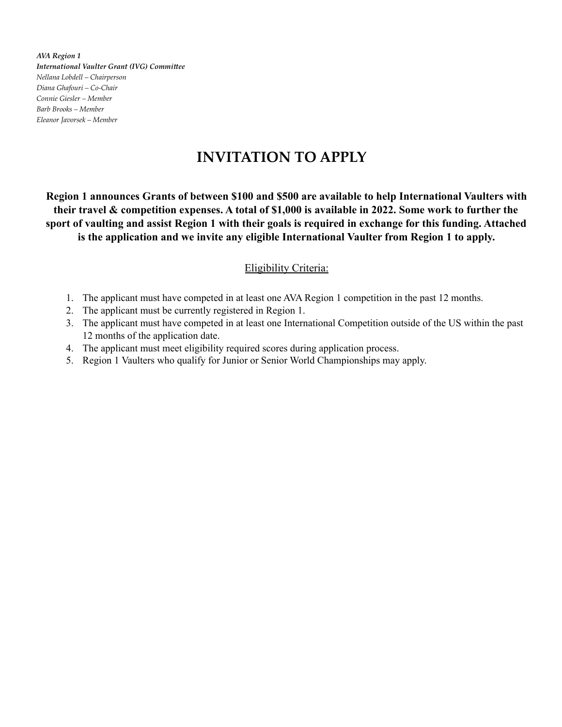*AVA Region 1 International Vaulter Grant (IVG) Committee Nellana Lobdell – Chairperson Diana Ghafouri – Co-Chair Connie Giesler – Member Barb Brooks – Member Eleanor Javorsek – Member*

# **INVITATION TO APPLY**

**Region 1 announces Grants of between \$100 and \$500 are available to help International Vaulters with their travel & competition expenses. A total of \$1,000 is available in 2022. Some work to further the sport of vaulting and assist Region 1 with their goals is required in exchange for this funding. Attached is the application and we invite any eligible International Vaulter from Region 1 to apply.**

### Eligibility Criteria:

- 1. The applicant must have competed in at least one AVA Region 1 competition in the past 12 months.
- 2. The applicant must be currently registered in Region 1.
- 3. The applicant must have competed in at least one International Competition outside of the US within the past 12 months of the application date.
- 4. The applicant must meet eligibility required scores during application process.
- 5. Region 1 Vaulters who qualify for Junior or Senior World Championships may apply.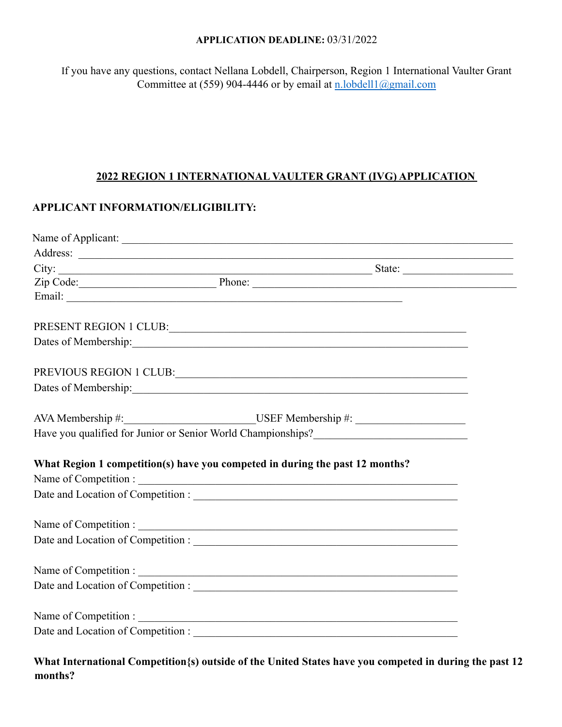#### **APPLICATION DEADLINE:** 03/31/2022

If you have any questions, contact Nellana Lobdell, Chairperson, Region 1 International Vaulter Grant Committee at (559) 904-4446 or by email at  $n.$  lobdell1@gmail.com

#### **2022 REGION 1 INTERNATIONAL VAULTER GRANT (IVG) APPLICATION**

### **APPLICANT INFORMATION/ELIGIBILITY:**

| Zip Code: Phone: Phone: Phone: 2014                                                                                                                                                                                            |  |
|--------------------------------------------------------------------------------------------------------------------------------------------------------------------------------------------------------------------------------|--|
|                                                                                                                                                                                                                                |  |
|                                                                                                                                                                                                                                |  |
| PRESENT REGION 1 CLUB:                                                                                                                                                                                                         |  |
|                                                                                                                                                                                                                                |  |
| PREVIOUS REGION 1 CLUB: UNITS AND A CLUB CONTROLLER CONTROLLER CONTROLLER CONTROLLER CONTROLLER CONTROLLER CONTROLLER CONTROLLER CONTROLLER CONTROLLER CONTROLLER CONTROLLER CONTROLLER CONTROLLER CONTROLLER CONTROLLER CONTR |  |
|                                                                                                                                                                                                                                |  |
|                                                                                                                                                                                                                                |  |
|                                                                                                                                                                                                                                |  |
| Have you qualified for Junior or Senior World Championships?_____________________                                                                                                                                              |  |
| What Region 1 competition(s) have you competed in during the past 12 months?                                                                                                                                                   |  |
|                                                                                                                                                                                                                                |  |
|                                                                                                                                                                                                                                |  |
|                                                                                                                                                                                                                                |  |
|                                                                                                                                                                                                                                |  |
|                                                                                                                                                                                                                                |  |
|                                                                                                                                                                                                                                |  |
|                                                                                                                                                                                                                                |  |
| Name of Competition :                                                                                                                                                                                                          |  |
|                                                                                                                                                                                                                                |  |
|                                                                                                                                                                                                                                |  |

**What International Competition{s) outside of the United States have you competed in during the past 12 months?**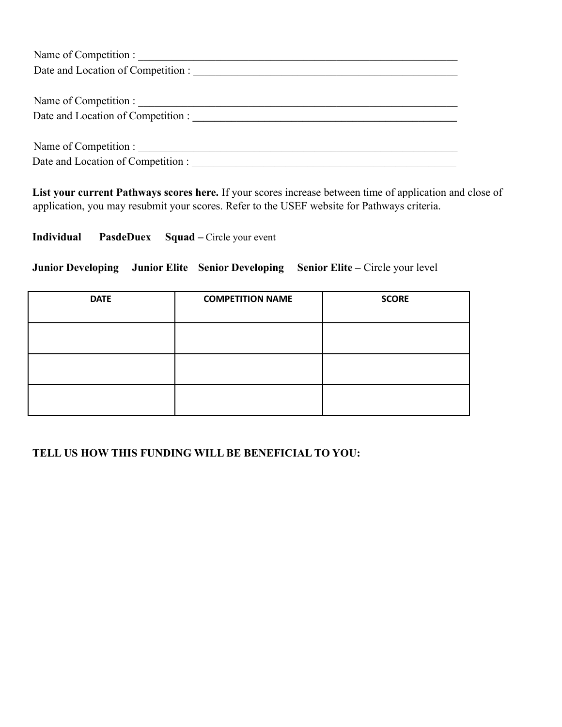| Name of Competition :              |  |  |
|------------------------------------|--|--|
| Date and Location of Competition : |  |  |
|                                    |  |  |
| Name of Competition :              |  |  |
| Date and Location of Competition : |  |  |
|                                    |  |  |
| Name of Competition :              |  |  |
| Date and Location of Competition : |  |  |

**List your current Pathways scores here.** If your scores increase between time of application and close of application, you may resubmit your scores. Refer to the USEF website for Pathways criteria.

## **Individual PasdeDuex Squad –** Circle your event

### **Junior Developing Junior Elite Senior Developing Senior Elite –** Circle your level

| <b>DATE</b> | <b>COMPETITION NAME</b> | <b>SCORE</b> |
|-------------|-------------------------|--------------|
|             |                         |              |
|             |                         |              |
|             |                         |              |

### **TELL US HOW THIS FUNDING WILL BE BENEFICIAL TO YOU:**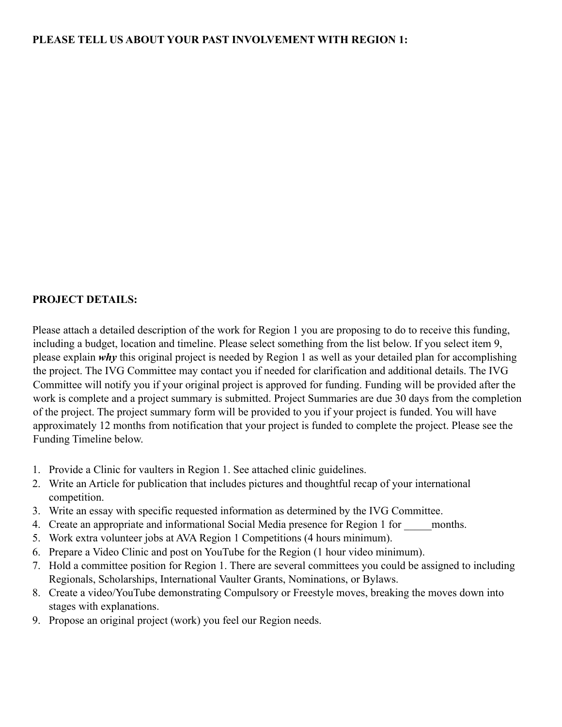## **PROJECT DETAILS:**

Please attach a detailed description of the work for Region 1 you are proposing to do to receive this funding, including a budget, location and timeline. Please select something from the list below. If you select item 9, please explain *why* this original project is needed by Region 1 as well as your detailed plan for accomplishing the project. The IVG Committee may contact you if needed for clarification and additional details. The IVG Committee will notify you if your original project is approved for funding. Funding will be provided after the work is complete and a project summary is submitted. Project Summaries are due 30 days from the completion of the project. The project summary form will be provided to you if your project is funded. You will have approximately 12 months from notification that your project is funded to complete the project. Please see the Funding Timeline below.

- 1. Provide a Clinic for vaulters in Region 1. See attached clinic guidelines.
- 2. Write an Article for publication that includes pictures and thoughtful recap of your international competition.
- 3. Write an essay with specific requested information as determined by the IVG Committee.
- 4. Create an appropriate and informational Social Media presence for Region 1 for months.
- 5. Work extra volunteer jobs at AVA Region 1 Competitions (4 hours minimum).
- 6. Prepare a Video Clinic and post on YouTube for the Region (1 hour video minimum).
- 7. Hold a committee position for Region 1. There are several committees you could be assigned to including Regionals, Scholarships, International Vaulter Grants, Nominations, or Bylaws.
- 8. Create a video/YouTube demonstrating Compulsory or Freestyle moves, breaking the moves down into stages with explanations.
- 9. Propose an original project (work) you feel our Region needs.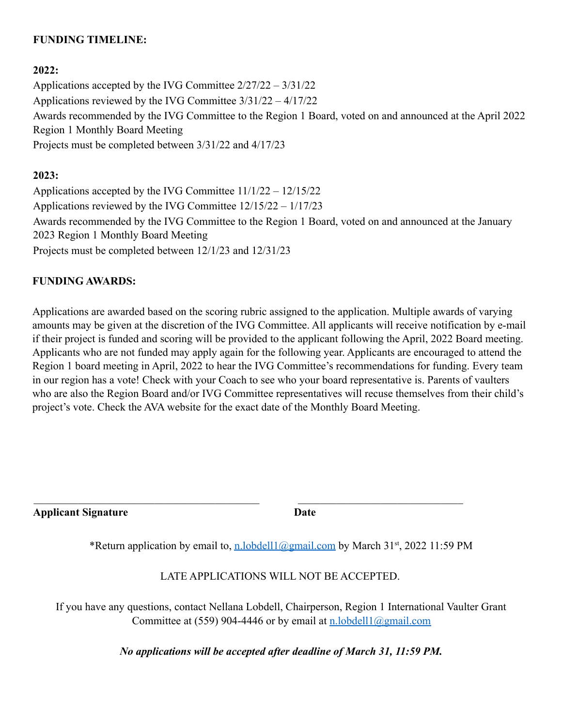## **FUNDING TIMELINE:**

### **2022:**

Applications accepted by the IVG Committee 2/27/22 – 3/31/22 Applications reviewed by the IVG Committee 3/31/22 – 4/17/22 Awards recommended by the IVG Committee to the Region 1 Board, voted on and announced at the April 2022 Region 1 Monthly Board Meeting Projects must be completed between 3/31/22 and 4/17/23

#### **2023:**

Applications accepted by the IVG Committee 11/1/22 – 12/15/22 Applications reviewed by the IVG Committee 12/15/22 – 1/17/23 Awards recommended by the IVG Committee to the Region 1 Board, voted on and announced at the January 2023 Region 1 Monthly Board Meeting Projects must be completed between 12/1/23 and 12/31/23

### **FUNDING AWARDS:**

Applications are awarded based on the scoring rubric assigned to the application. Multiple awards of varying amounts may be given at the discretion of the IVG Committee. All applicants will receive notification by e-mail if their project is funded and scoring will be provided to the applicant following the April, 2022 Board meeting. Applicants who are not funded may apply again for the following year. Applicants are encouraged to attend the Region 1 board meeting in April, 2022 to hear the IVG Committee's recommendations for funding. Every team in our region has a vote! Check with your Coach to see who your board representative is. Parents of vaulters who are also the Region Board and/or IVG Committee representatives will recuse themselves from their child's project's vote. Check the AVA website for the exact date of the Monthly Board Meeting.

**Applicant Signature Date**

\*Return application by email to, [n.lobdell1@gmail.com](mailto:n.lobdell1@gmail.com) by March 31<sup>st</sup>, 2022 11:59 PM

 $\mathcal{L}_\text{max}$  , and the contribution of the contribution of the contribution of the contribution of the contribution of the contribution of the contribution of the contribution of the contribution of the contribution of t

LATE APPLICATIONS WILL NOT BE ACCEPTED.

If you have any questions, contact Nellana Lobdell, Chairperson, Region 1 International Vaulter Grant Committee at (559) 904-4446 or by email at  $n. \text{labell} (a)$  amail.com

*No applications will be accepted after deadline of March 31, 11:59 PM.*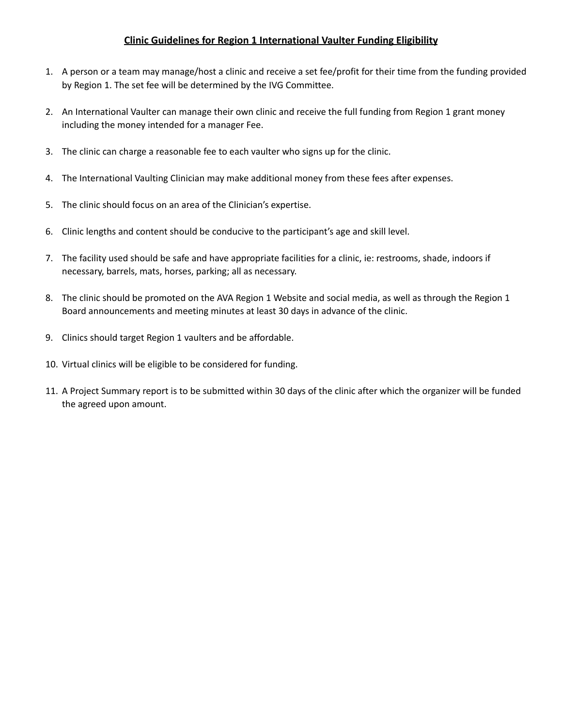#### **Clinic Guidelines for Region 1 International Vaulter Funding Eligibility**

- 1. A person or a team may manage/host a clinic and receive a set fee/profit for their time from the funding provided by Region 1. The set fee will be determined by the IVG Committee.
- 2. An International Vaulter can manage their own clinic and receive the full funding from Region 1 grant money including the money intended for a manager Fee.
- 3. The clinic can charge a reasonable fee to each vaulter who signs up for the clinic.
- 4. The International Vaulting Clinician may make additional money from these fees after expenses.
- 5. The clinic should focus on an area of the Clinician's expertise.
- 6. Clinic lengths and content should be conducive to the participant's age and skill level.
- 7. The facility used should be safe and have appropriate facilities for a clinic, ie: restrooms, shade, indoors if necessary, barrels, mats, horses, parking; all as necessary.
- 8. The clinic should be promoted on the AVA Region 1 Website and social media, as well as through the Region 1 Board announcements and meeting minutes at least 30 days in advance of the clinic.
- 9. Clinics should target Region 1 vaulters and be affordable.
- 10. Virtual clinics will be eligible to be considered for funding.
- 11. A Project Summary report is to be submitted within 30 days of the clinic after which the organizer will be funded the agreed upon amount.